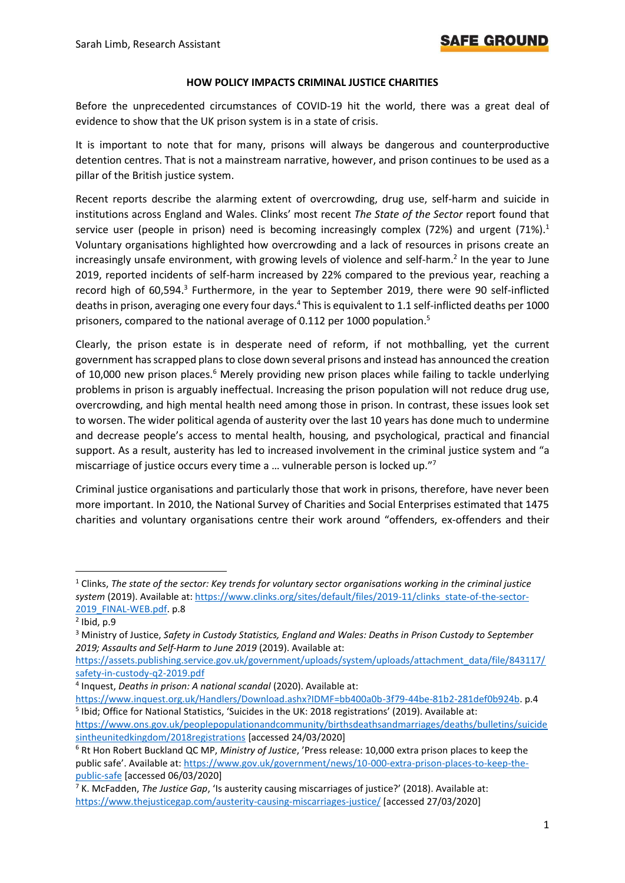#### **HOW POLICY IMPACTS CRIMINAL JUSTICE CHARITIES**

Before the unprecedented circumstances of COVID-19 hit the world, there was a great deal of evidence to show that the UK prison system is in a state of crisis.

It is important to note that for many, prisons will always be dangerous and counterproductive detention centres. That is not a mainstream narrative, however, and prison continues to be used as a pillar of the British justice system.

Recent reports describe the alarming extent of overcrowding, drug use, self-harm and suicide in institutions across England and Wales. Clinks' most recent *The State of the Sector* report found that service user (people in prison) need is becoming increasingly complex (72%) and urgent (71%).<sup>1</sup> Voluntary organisations highlighted how overcrowding and a lack of resources in prisons create an increasingly unsafe environment, with growing levels of violence and self-harm.<sup>2</sup> In the year to June 2019, reported incidents of self-harm increased by 22% compared to the previous year, reaching a record high of 60,594.<sup>3</sup> Furthermore, in the year to September 2019, there were 90 self-inflicted deaths in prison, averaging one every four days.<sup>4</sup> This is equivalent to 1.1 self-inflicted deaths per 1000 prisoners, compared to the national average of 0.112 per 1000 population. 5

Clearly, the prison estate is in desperate need of reform, if not mothballing, yet the current government has scrapped plans to close down several prisons and instead has announced the creation of 10,000 new prison places.<sup>6</sup> Merely providing new prison places while failing to tackle underlying problems in prison is arguably ineffectual. Increasing the prison population will not reduce drug use, overcrowding, and high mental health need among those in prison. In contrast, these issues look set to worsen. The wider political agenda of austerity over the last 10 years has done much to undermine and decrease people's access to mental health, housing, and psychological, practical and financial support. As a result, austerity has led to increased involvement in the criminal justice system and "a miscarriage of justice occurs every time a ... vulnerable person is locked up."<sup>7</sup>

Criminal justice organisations and particularly those that work in prisons, therefore, have never been more important. In 2010, the National Survey of Charities and Social Enterprises estimated that 1475 charities and voluntary organisations centre their work around "offenders, ex-offenders and their

<sup>1</sup> Clinks, *The state of the sector: Key trends for voluntary sector organisations working in the criminal justice system* (2019). Available at: [https://www.clinks.org/sites/default/files/2019-11/clinks\\_state-of-the-sector-](https://www.clinks.org/sites/default/files/2019-11/clinks_state-of-the-sector-2019_FINAL-WEB.pdf)2019 FINAL-WEB.pdf. p.8

 $<sup>2</sup>$  Ibid, p.9</sup>

<sup>3</sup> Ministry of Justice, *Safety in Custody Statistics, England and Wales: Deaths in Prison Custody to September 2019; Assaults and Self-Harm to June 2019* (2019). Available at:

[https://assets.publishing.service.gov.uk/government/uploads/system/uploads/attachment\\_data/file/843117/](https://assets.publishing.service.gov.uk/government/uploads/system/uploads/attachment_data/file/843117/safety-in-custody-q2-2019.pdf) [safety-in-custody-q2-2019.pdf](https://assets.publishing.service.gov.uk/government/uploads/system/uploads/attachment_data/file/843117/safety-in-custody-q2-2019.pdf)

<sup>4</sup> Inquest, *Deaths in prison: A national scandal* (2020). Available at:

[https://www.inquest.org.uk/Handlers/Download.ashx?IDMF=bb400a0b-3f79-44be-81b2-281def0b924b.](https://www.inquest.org.uk/Handlers/Download.ashx?IDMF=bb400a0b-3f79-44be-81b2-281def0b924b) p.4 <sup>5</sup> Ibid; Office for National Statistics, 'Suicides in the UK: 2018 registrations' (2019). Available at:

[https://www.ons.gov.uk/peoplepopulationandcommunity/birthsdeathsandmarriages/deaths/bulletins/suicide](https://www.ons.gov.uk/peoplepopulationandcommunity/birthsdeathsandmarriages/deaths/bulletins/suicidesintheunitedkingdom/2018registrations) [sintheunitedkingdom/2018registrations](https://www.ons.gov.uk/peoplepopulationandcommunity/birthsdeathsandmarriages/deaths/bulletins/suicidesintheunitedkingdom/2018registrations) [accessed 24/03/2020]

<sup>6</sup> Rt Hon Robert Buckland QC MP, *Ministry of Justice*, 'Press release: 10,000 extra prison places to keep the public safe'. Available at: [https://www.gov.uk/government/news/10-000-extra-prison-places-to-keep-the](https://www.gov.uk/government/news/10-000-extra-prison-places-to-keep-the-public-safe)[public-safe](https://www.gov.uk/government/news/10-000-extra-prison-places-to-keep-the-public-safe) [accessed 06/03/2020]

<sup>7</sup> K. McFadden, *The Justice Gap*, 'Is austerity causing miscarriages of justice?' (2018). Available at: <https://www.thejusticegap.com/austerity-causing-miscarriages-justice/> [accessed 27/03/2020]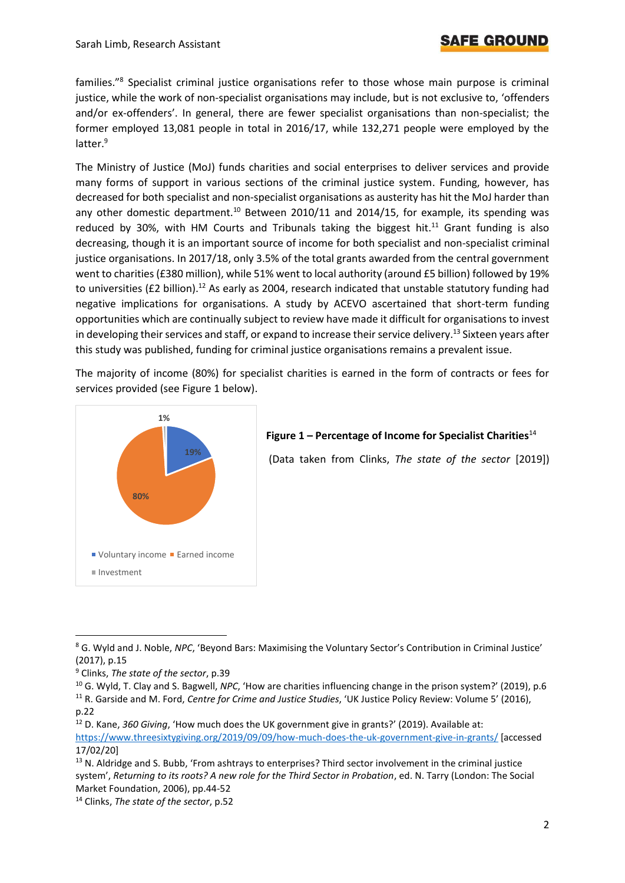families."<sup>8</sup> Specialist criminal justice organisations refer to those whose main purpose is criminal justice, while the work of non-specialist organisations may include, but is not exclusive to, 'offenders and/or ex-offenders'. In general, there are fewer specialist organisations than non-specialist; the former employed 13,081 people in total in 2016/17, while 132,271 people were employed by the latter.<sup>9</sup>

The Ministry of Justice (MoJ) funds charities and social enterprises to deliver services and provide many forms of support in various sections of the criminal justice system. Funding, however, has decreased for both specialist and non-specialist organisations as austerity has hit the MoJ harder than any other domestic department.<sup>10</sup> Between 2010/11 and 2014/15, for example, its spending was reduced by 30%, with HM Courts and Tribunals taking the biggest hit.<sup>11</sup> Grant funding is also decreasing, though it is an important source of income for both specialist and non-specialist criminal justice organisations. In 2017/18, only 3.5% of the total grants awarded from the central government went to charities (£380 million), while 51% went to local authority (around £5 billion) followed by 19% to universities (£2 billion).<sup>12</sup> As early as 2004, research indicated that unstable statutory funding had negative implications for organisations. A study by ACEVO ascertained that short-term funding opportunities which are continually subject to review have made it difficult for organisations to invest in developing their services and staff, or expand to increase their service delivery.<sup>13</sup> Sixteen years after this study was published, funding for criminal justice organisations remains a prevalent issue.

The majority of income (80%) for specialist charities is earned in the form of contracts or fees for services provided (see Figure 1 below).



### **Figure 1 – Percentage of Income for Specialist Charities**<sup>14</sup>

(Data taken from Clinks, *The state of the sector* [2019])

<sup>8</sup> G. Wyld and J. Noble, *NPC*, 'Beyond Bars: Maximising the Voluntary Sector's Contribution in Criminal Justice' (2017), p.15

<sup>9</sup> Clinks, *The state of the sector*, p.39

<sup>10</sup> G. Wyld, T. Clay and S. Bagwell, *NPC*, 'How are charities influencing change in the prison system?' (2019), p.6 <sup>11</sup> R. Garside and M. Ford, *Centre for Crime and Justice Studies*, 'UK Justice Policy Review: Volume 5' (2016), p.22

<sup>12</sup> D. Kane, *360 Giving*, 'How much does the UK government give in grants?' (2019). Available at: <https://www.threesixtygiving.org/2019/09/09/how-much-does-the-uk-government-give-in-grants/> [accessed 17/02/20]

<sup>&</sup>lt;sup>13</sup> N. Aldridge and S. Bubb, 'From ashtrays to enterprises? Third sector involvement in the criminal justice system', *Returning to its roots? A new role for the Third Sector in Probation*, ed. N. Tarry (London: The Social Market Foundation, 2006), pp.44-52

<sup>14</sup> Clinks, *The state of the sector*, p.52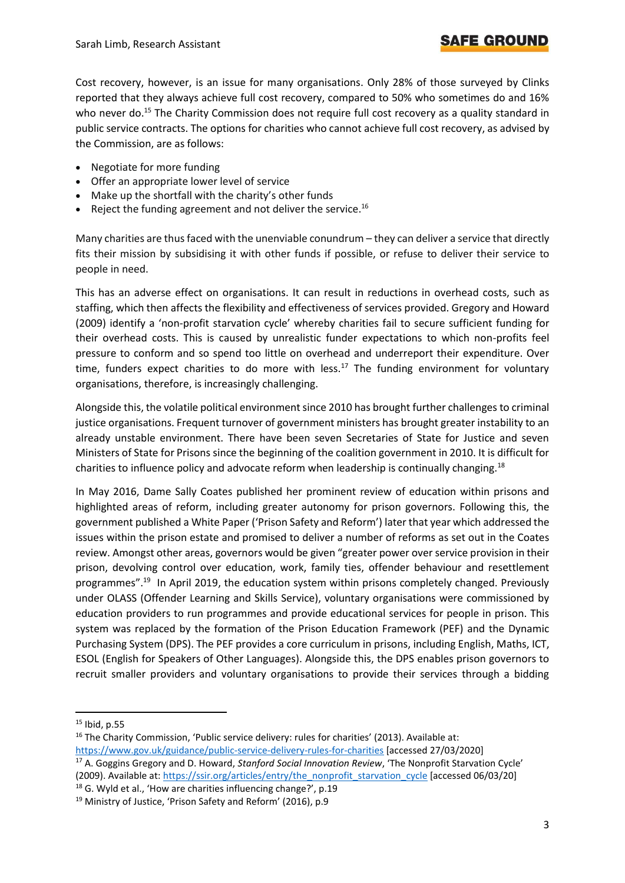# SAFE GROUN

Cost recovery, however, is an issue for many organisations. Only 28% of those surveyed by Clinks reported that they always achieve full cost recovery, compared to 50% who sometimes do and 16% who never do.<sup>15</sup> The Charity Commission does not require full cost recovery as a quality standard in public service contracts. The options for charities who cannot achieve full cost recovery, as advised by the Commission, are as follows:

- Negotiate for more funding
- Offer an appropriate lower level of service
- Make up the shortfall with the charity's other funds
- Reject the funding agreement and not deliver the service.<sup>16</sup>

Many charities are thus faced with the unenviable conundrum – they can deliver a service that directly fits their mission by subsidising it with other funds if possible, or refuse to deliver their service to people in need.

This has an adverse effect on organisations. It can result in reductions in overhead costs, such as staffing, which then affects the flexibility and effectiveness of services provided. Gregory and Howard (2009) identify a 'non-profit starvation cycle' whereby charities fail to secure sufficient funding for their overhead costs. This is caused by unrealistic funder expectations to which non-profits feel pressure to conform and so spend too little on overhead and underreport their expenditure. Over time, funders expect charities to do more with less.<sup>17</sup> The funding environment for voluntary organisations, therefore, is increasingly challenging.

Alongside this, the volatile political environment since 2010 has brought further challenges to criminal justice organisations. Frequent turnover of government ministers has brought greater instability to an already unstable environment. There have been seven Secretaries of State for Justice and seven Ministers of State for Prisons since the beginning of the coalition government in 2010. It is difficult for charities to influence policy and advocate reform when leadership is continually changing.<sup>18</sup>

In May 2016, Dame Sally Coates published her prominent review of education within prisons and highlighted areas of reform, including greater autonomy for prison governors. Following this, the government published a White Paper ('Prison Safety and Reform') later that year which addressed the issues within the prison estate and promised to deliver a number of reforms as set out in the Coates review. Amongst other areas, governors would be given "greater power over service provision in their prison, devolving control over education, work, family ties, offender behaviour and resettlement programmes".<sup>19</sup> In April 2019, the education system within prisons completely changed. Previously under OLASS (Offender Learning and Skills Service), voluntary organisations were commissioned by education providers to run programmes and provide educational services for people in prison. This system was replaced by the formation of the Prison Education Framework (PEF) and the Dynamic Purchasing System (DPS). The PEF provides a core curriculum in prisons, including English, Maths, ICT, ESOL (English for Speakers of Other Languages). Alongside this, the DPS enables prison governors to recruit smaller providers and voluntary organisations to provide their services through a bidding

 $15$  Ibid, p.55

<sup>&</sup>lt;sup>16</sup> The Charity Commission, 'Public service delivery: rules for charities' (2013). Available at: <https://www.gov.uk/guidance/public-service-delivery-rules-for-charities> [accessed 27/03/2020]

<sup>17</sup> A. Goggins Gregory and D. Howard, *Stanford Social Innovation Review*, 'The Nonprofit Starvation Cycle' (2009). Available at[: https://ssir.org/articles/entry/the\\_nonprofit\\_starvation\\_cycle](https://ssir.org/articles/entry/the_nonprofit_starvation_cycle) [accessed 06/03/20]

 $18$  G. Wyld et al., 'How are charities influencing change?', p.19

<sup>&</sup>lt;sup>19</sup> Ministry of Justice, 'Prison Safety and Reform' (2016), p.9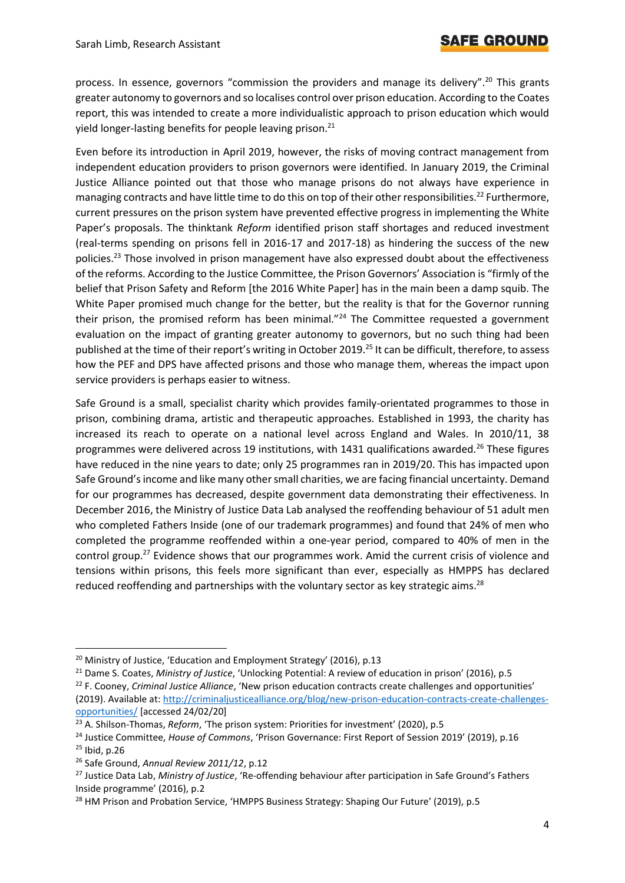process. In essence, governors "commission the providers and manage its delivery".<sup>20</sup> This grants greater autonomy to governors and so localises control over prison education. According to the Coates report, this was intended to create a more individualistic approach to prison education which would yield longer-lasting benefits for people leaving prison.<sup>21</sup>

Even before its introduction in April 2019, however, the risks of moving contract management from independent education providers to prison governors were identified. In January 2019, the Criminal Justice Alliance pointed out that those who manage prisons do not always have experience in managing contracts and have little time to do this on top of their other responsibilities.<sup>22</sup> Furthermore, current pressures on the prison system have prevented effective progress in implementing the White Paper's proposals. The thinktank *Reform* identified prison staff shortages and reduced investment (real-terms spending on prisons fell in 2016-17 and 2017-18) as hindering the success of the new policies.<sup>23</sup> Those involved in prison management have also expressed doubt about the effectiveness of the reforms. According to the Justice Committee, the Prison Governors' Association is "firmly of the belief that Prison Safety and Reform [the 2016 White Paper] has in the main been a damp squib. The White Paper promised much change for the better, but the reality is that for the Governor running their prison, the promised reform has been minimal."<sup>24</sup> The Committee requested a government evaluation on the impact of granting greater autonomy to governors, but no such thing had been published at the time of their report's writing in October 2019.<sup>25</sup> It can be difficult, therefore, to assess how the PEF and DPS have affected prisons and those who manage them, whereas the impact upon service providers is perhaps easier to witness.

Safe Ground is a small, specialist charity which provides family-orientated programmes to those in prison, combining drama, artistic and therapeutic approaches. Established in 1993, the charity has increased its reach to operate on a national level across England and Wales. In 2010/11, 38 programmes were delivered across 19 institutions, with 1431 qualifications awarded.<sup>26</sup> These figures have reduced in the nine years to date; only 25 programmes ran in 2019/20. This has impacted upon Safe Ground's income and like many other small charities, we are facing financial uncertainty. Demand for our programmes has decreased, despite government data demonstrating their effectiveness. In December 2016, the Ministry of Justice Data Lab analysed the reoffending behaviour of 51 adult men who completed Fathers Inside (one of our trademark programmes) and found that 24% of men who completed the programme reoffended within a one-year period, compared to 40% of men in the control group.<sup>27</sup> Evidence shows that our programmes work. Amid the current crisis of violence and tensions within prisons, this feels more significant than ever, especially as HMPPS has declared reduced reoffending and partnerships with the voluntary sector as key strategic aims.<sup>28</sup>

<sup>22</sup> F. Cooney, *Criminal Justice Alliance*, 'New prison education contracts create challenges and opportunities' (2019). Available at[: http://criminaljusticealliance.org/blog/new-prison-education-contracts-create-challenges](http://criminaljusticealliance.org/blog/new-prison-education-contracts-create-challenges-opportunities/)[opportunities/](http://criminaljusticealliance.org/blog/new-prison-education-contracts-create-challenges-opportunities/) [accessed 24/02/20]

<sup>&</sup>lt;sup>20</sup> Ministry of Justice, 'Education and Employment Strategy' (2016), p.13

<sup>21</sup> Dame S. Coates, *Ministry of Justice*, 'Unlocking Potential: A review of education in prison' (2016), p.5

<sup>&</sup>lt;sup>23</sup> A. Shilson-Thomas, *Reform*, 'The prison system: Priorities for investment' (2020), p.5

<sup>24</sup> Justice Committee, *House of Commons*, 'Prison Governance: First Report of Session 2019' (2019), p.16

 $25$  Ibid, p.26

<sup>26</sup> Safe Ground, *Annual Review 2011/12*, p.12

<sup>27</sup> Justice Data Lab, *Ministry of Justice*, 'Re-offending behaviour after participation in Safe Ground's Fathers Inside programme' (2016), p.2

<sup>&</sup>lt;sup>28</sup> HM Prison and Probation Service, 'HMPPS Business Strategy: Shaping Our Future' (2019), p.5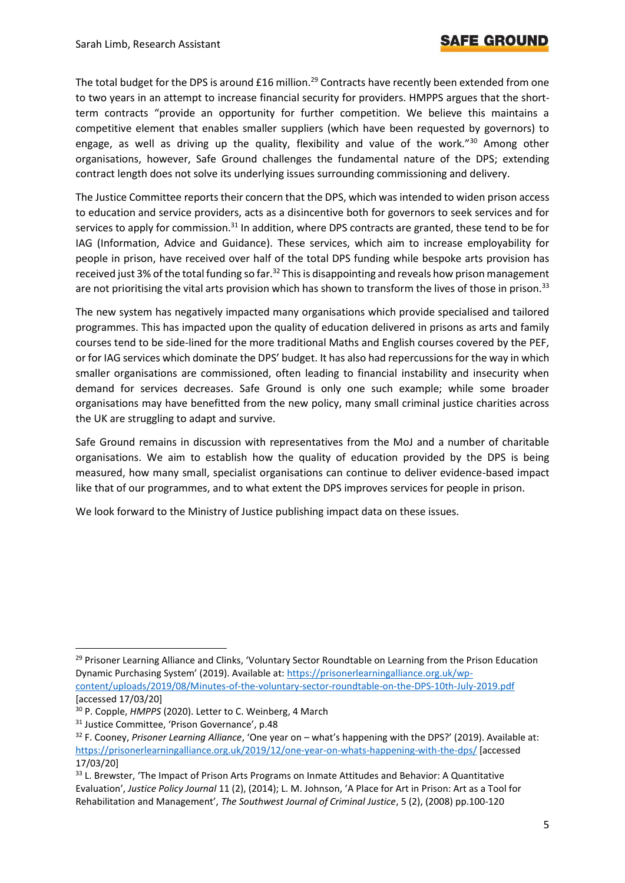The total budget for the DPS is around £16 million.<sup>29</sup> Contracts have recently been extended from one to two years in an attempt to increase financial security for providers. HMPPS argues that the shortterm contracts "provide an opportunity for further competition. We believe this maintains a competitive element that enables smaller suppliers (which have been requested by governors) to engage, as well as driving up the quality, flexibility and value of the work."<sup>30</sup> Among other organisations, however, Safe Ground challenges the fundamental nature of the DPS; extending contract length does not solve its underlying issues surrounding commissioning and delivery.

The Justice Committee reports their concern that the DPS, which was intended to widen prison access to education and service providers, acts as a disincentive both for governors to seek services and for services to apply for commission.<sup>31</sup> In addition, where DPS contracts are granted, these tend to be for IAG (Information, Advice and Guidance). These services, which aim to increase employability for people in prison, have received over half of the total DPS funding while bespoke arts provision has received just 3% of the total funding so far.<sup>32</sup> This is disappointing and reveals how prison management are not prioritising the vital arts provision which has shown to transform the lives of those in prison.<sup>33</sup>

The new system has negatively impacted many organisations which provide specialised and tailored programmes. This has impacted upon the quality of education delivered in prisons as arts and family courses tend to be side-lined for the more traditional Maths and English courses covered by the PEF, or for IAG services which dominate the DPS' budget. It has also had repercussions for the way in which smaller organisations are commissioned, often leading to financial instability and insecurity when demand for services decreases. Safe Ground is only one such example; while some broader organisations may have benefitted from the new policy, many small criminal justice charities across the UK are struggling to adapt and survive.

Safe Ground remains in discussion with representatives from the MoJ and a number of charitable organisations. We aim to establish how the quality of education provided by the DPS is being measured, how many small, specialist organisations can continue to deliver evidence-based impact like that of our programmes, and to what extent the DPS improves services for people in prison.

We look forward to the Ministry of Justice publishing impact data on these issues.

<sup>&</sup>lt;sup>29</sup> Prisoner Learning Alliance and Clinks, 'Voluntary Sector Roundtable on Learning from the Prison Education Dynamic Purchasing System' (2019). Available at: [https://prisonerlearningalliance.org.uk/wp](https://prisonerlearningalliance.org.uk/wp-content/uploads/2019/08/Minutes-of-the-voluntary-sector-roundtable-on-the-DPS-10th-July-2019.pdf)[content/uploads/2019/08/Minutes-of-the-voluntary-sector-roundtable-on-the-DPS-10th-July-2019.pdf](https://prisonerlearningalliance.org.uk/wp-content/uploads/2019/08/Minutes-of-the-voluntary-sector-roundtable-on-the-DPS-10th-July-2019.pdf) [accessed 17/03/20]

<sup>30</sup> P. Copple, *HMPPS* (2020). Letter to C. Weinberg, 4 March

<sup>&</sup>lt;sup>31</sup> Justice Committee, 'Prison Governance', p.48

<sup>32</sup> F. Cooney, *Prisoner Learning Alliance*, 'One year on – what's happening with the DPS?' (2019). Available at: <https://prisonerlearningalliance.org.uk/2019/12/one-year-on-whats-happening-with-the-dps/> [accessed 17/03/20]

<sup>&</sup>lt;sup>33</sup> L. Brewster, 'The Impact of Prison Arts Programs on Inmate Attitudes and Behavior: A Quantitative Evaluation', *Justice Policy Journal* 11 (2), (2014); L. M. Johnson, 'A Place for Art in Prison: Art as a Tool for Rehabilitation and Management', *The Southwest Journal of Criminal Justice*, 5 (2), (2008) pp.100-120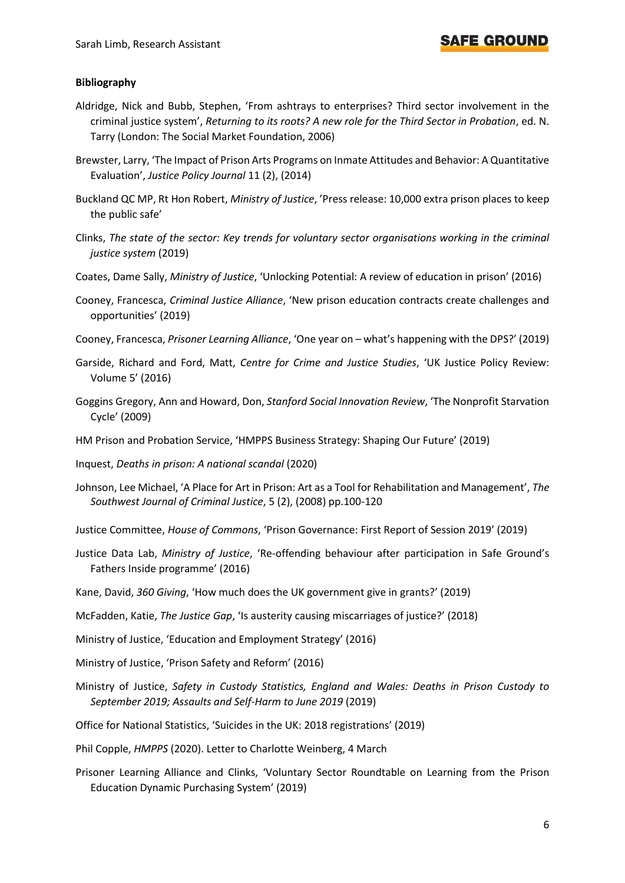### SAFE GROUND

#### **Bibliography**

- Aldridge, Nick and Bubb, Stephen, 'From ashtrays to enterprises? Third sector involvement in the criminal justice system', *Returning to its roots? A new role for the Third Sector in Probation*, ed. N. Tarry (London: The Social Market Foundation, 2006)
- Brewster, Larry, 'The Impact of Prison Arts Programs on Inmate Attitudes and Behavior: A Quantitative Evaluation', *Justice Policy Journal* 11 (2), (2014)
- Buckland QC MP, Rt Hon Robert, *Ministry of Justice*, 'Press release: 10,000 extra prison places to keep the public safe'
- Clinks, *The state of the sector: Key trends for voluntary sector organisations working in the criminal justice system* (2019)
- Coates, Dame Sally, *Ministry of Justice*, 'Unlocking Potential: A review of education in prison' (2016)
- Cooney, Francesca, *Criminal Justice Alliance*, 'New prison education contracts create challenges and opportunities' (2019)
- Cooney, Francesca, *Prisoner Learning Alliance*, 'One year on what's happening with the DPS?' (2019)
- Garside, Richard and Ford, Matt, *Centre for Crime and Justice Studies*, 'UK Justice Policy Review: Volume 5' (2016)
- Goggins Gregory, Ann and Howard, Don, *Stanford Social Innovation Review*, 'The Nonprofit Starvation Cycle' (2009)
- HM Prison and Probation Service, 'HMPPS Business Strategy: Shaping Our Future' (2019)
- Inquest, *Deaths in prison: A national scandal* (2020)
- Johnson, Lee Michael, 'A Place for Art in Prison: Art as a Tool for Rehabilitation and Management', *The Southwest Journal of Criminal Justice*, 5 (2), (2008) pp.100-120
- Justice Committee, *House of Commons*, 'Prison Governance: First Report of Session 2019' (2019)
- Justice Data Lab, *Ministry of Justice*, 'Re-offending behaviour after participation in Safe Ground's Fathers Inside programme' (2016)
- Kane, David, *360 Giving*, 'How much does the UK government give in grants?' (2019)
- McFadden, Katie, *The Justice Gap*, 'Is austerity causing miscarriages of justice?' (2018)
- Ministry of Justice, 'Education and Employment Strategy' (2016)
- Ministry of Justice, 'Prison Safety and Reform' (2016)
- Ministry of Justice, *Safety in Custody Statistics, England and Wales: Deaths in Prison Custody to September 2019; Assaults and Self-Harm to June 2019* (2019)
- Office for National Statistics, 'Suicides in the UK: 2018 registrations' (2019)
- Phil Copple, *HMPPS* (2020). Letter to Charlotte Weinberg, 4 March
- Prisoner Learning Alliance and Clinks, 'Voluntary Sector Roundtable on Learning from the Prison Education Dynamic Purchasing System' (2019)